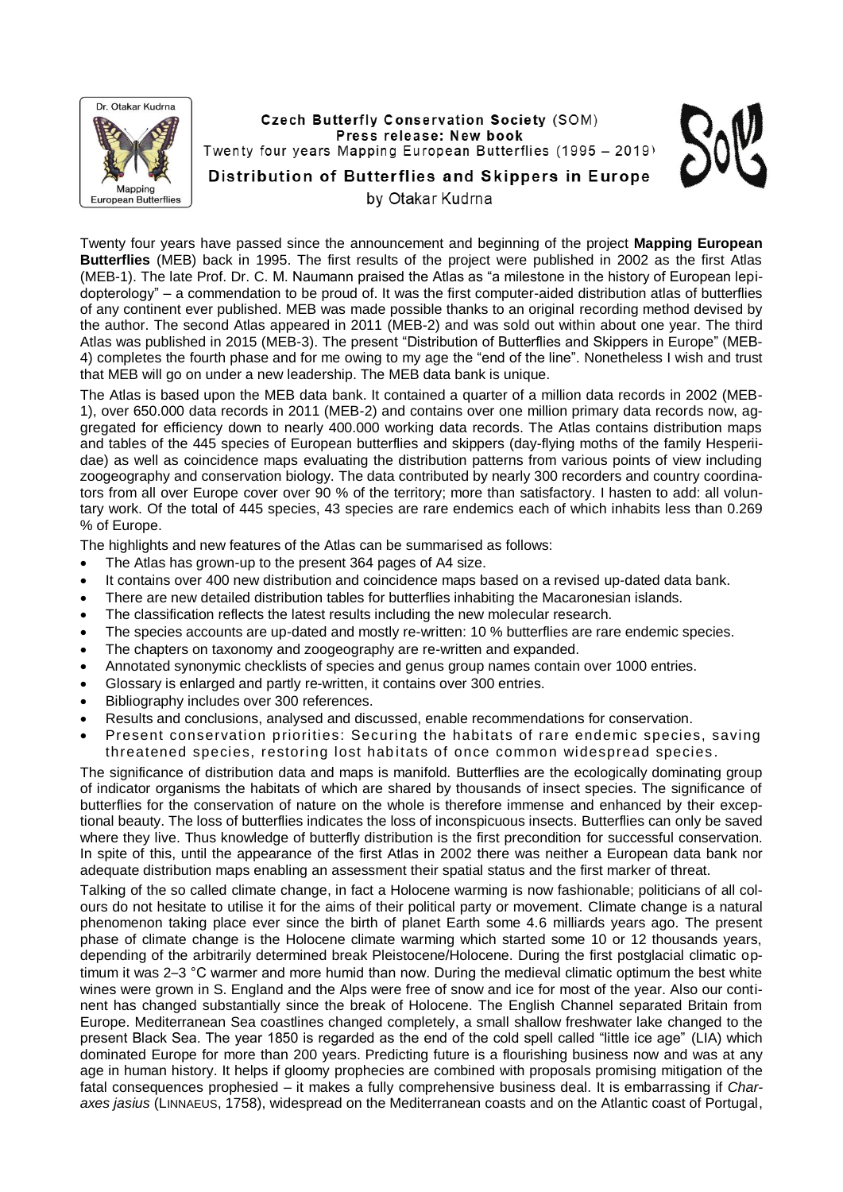

Twenty four years have passed since the announcement and beginning of the project **Mapping European Butterflies** (MEB) back in 1995. The first results of the project were published in 2002 as the first Atlas (MEB-1). The late Prof. Dr. C. M. Naumann praised the Atlas as "a milestone in the history of European lepidopterology" – a commendation to be proud of. It was the first computer-aided distribution atlas of butterflies of any continent ever published. MEB was made possible thanks to an original recording method devised by the author. The second Atlas appeared in 2011 (MEB-2) and was sold out within about one year. The third Atlas was published in 2015 (MEB-3). The present "Distribution of Butterflies and Skippers in Europe" (MEB-4) completes the fourth phase and for me owing to my age the "end of the line". Nonetheless I wish and trust that MEB will go on under a new leadership. The MEB data bank is unique.

The Atlas is based upon the MEB data bank. It contained a quarter of a million data records in 2002 (MEB-1), over 650.000 data records in 2011 (MEB-2) and contains over one million primary data records now, aggregated for efficiency down to nearly 400.000 working data records. The Atlas contains distribution maps and tables of the 445 species of European butterflies and skippers (day-flying moths of the family Hesperiidae) as well as coincidence maps evaluating the distribution patterns from various points of view including zoogeography and conservation biology. The data contributed by nearly 300 recorders and country coordinators from all over Europe cover over 90 % of the territory; more than satisfactory. I hasten to add: all voluntary work. Of the total of 445 species, 43 species are rare endemics each of which inhabits less than 0.269 % of Europe.

The highlights and new features of the Atlas can be summarised as follows:

- The Atlas has grown-up to the present 364 pages of A4 size.
- It contains over 400 new distribution and coincidence maps based on a revised up-dated data bank.
- There are new detailed distribution tables for butterflies inhabiting the Macaronesian islands.
- The classification reflects the latest results including the new molecular research.
- The species accounts are up-dated and mostly re-written: 10 % butterflies are rare endemic species.
- The chapters on taxonomy and zoogeography are re-written and expanded.
- Annotated synonymic checklists of species and genus group names contain over 1000 entries.
- Glossary is enlarged and partly re-written, it contains over 300 entries.
- Bibliography includes over 300 references.
- Results and conclusions, analysed and discussed, enable recommendations for conservation.
- Present conservation priorities: Securing the habitats of rare endemic species, saving threatened species, restoring lost habitats of once common widespread species .

The significance of distribution data and maps is manifold. Butterflies are the ecologically dominating group of indicator organisms the habitats of which are shared by thousands of insect species. The significance of butterflies for the conservation of nature on the whole is therefore immense and enhanced by their exceptional beauty. The loss of butterflies indicates the loss of inconspicuous insects. Butterflies can only be saved where they live. Thus knowledge of butterfly distribution is the first precondition for successful conservation. In spite of this, until the appearance of the first Atlas in 2002 there was neither a European data bank nor adequate distribution maps enabling an assessment their spatial status and the first marker of threat.

Talking of the so called climate change, in fact a Holocene warming is now fashionable; politicians of all colours do not hesitate to utilise it for the aims of their political party or movement. Climate change is a natural phenomenon taking place ever since the birth of planet Earth some 4.6 milliards years ago. The present phase of climate change is the Holocene climate warming which started some 10 or 12 thousands years, depending of the arbitrarily determined break Pleistocene/Holocene. During the first postglacial climatic optimum it was 2–3 °C warmer and more humid than now. During the medieval climatic optimum the best white wines were grown in S. England and the Alps were free of snow and ice for most of the year. Also our continent has changed substantially since the break of Holocene. The English Channel separated Britain from Europe. Mediterranean Sea coastlines changed completely, a small shallow freshwater lake changed to the present Black Sea. The year 1850 is regarded as the end of the cold spell called "little ice age" (LIA) which dominated Europe for more than 200 years. Predicting future is a flourishing business now and was at any age in human history. It helps if gloomy prophecies are combined with proposals promising mitigation of the fatal consequences prophesied – it makes a fully comprehensive business deal. It is embarrassing if *Charaxes jasius* (LINNAEUS, 1758), widespread on the Mediterranean coasts and on the Atlantic coast of Portugal,